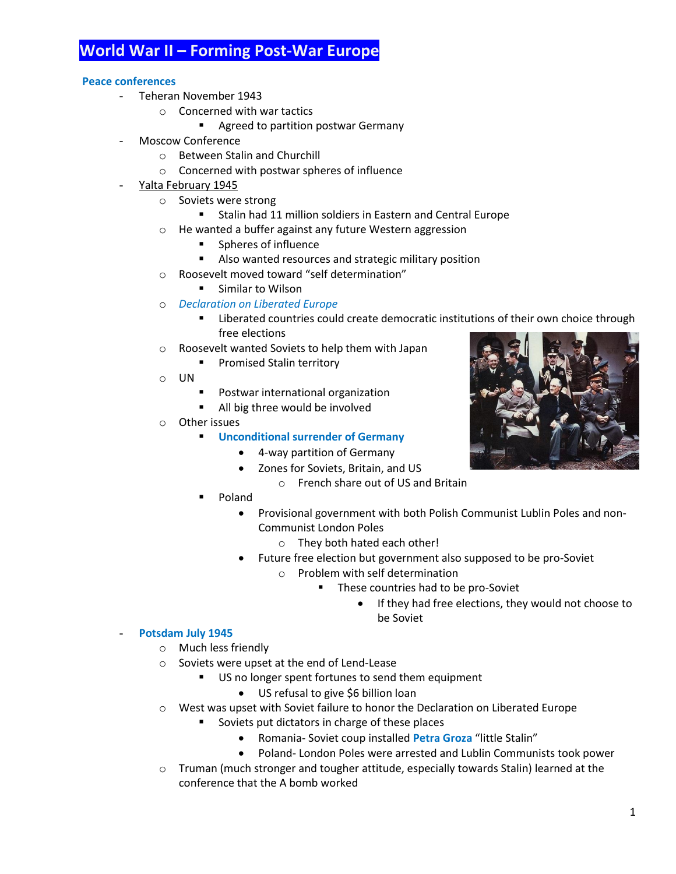# **World War II – Forming Post-War Europe**

# **Peace conferences**

- Teheran November 1943
	- o Concerned with war tactics
		- **Agreed to partition postwar Germany**
- Moscow Conference
	- o Between Stalin and Churchill
	- o Concerned with postwar spheres of influence
- Yalta February 1945
	- o Soviets were strong
		- **Stalin had 11 million soldiers in Eastern and Central Europe**
	- o He wanted a buffer against any future Western aggression
		- **Spheres of influence**
		- Also wanted resources and strategic military position
	- o Roosevelt moved toward "self determination"
		- Similar to Wilson
	- o *Declaration on Liberated Europe*
		- **EXECT** Liberated countries could create democratic institutions of their own choice through free elections
	- o Roosevelt wanted Soviets to help them with Japan
		- **Promised Stalin territory**
	- o UN
		- **Postwar international organization**
		- All big three would be involved
	- o Other issues
		- **Unconditional surrender of Germany**
			- 4-way partition of Germany
			- Zones for Soviets, Britain, and US
				- o French share out of US and Britain
		- Poland
			- Provisional government with both Polish Communist Lublin Poles and non-Communist London Poles
				- o They both hated each other!
			- Future free election but government also supposed to be pro-Soviet
				- o Problem with self determination
					- **These countries had to be pro-Soviet** 
						- If they had free elections, they would not choose to be Soviet

#### - **Potsdam July 1945**

- o Much less friendly
- o Soviets were upset at the end of Lend-Lease
	- US no longer spent fortunes to send them equipment
		- US refusal to give \$6 billion loan
- o West was upset with Soviet failure to honor the Declaration on Liberated Europe
	- **Soviets put dictators in charge of these places** 
		- Romania- Soviet coup installed **Petra Groza** "little Stalin"
		- Poland- London Poles were arrested and Lublin Communists took power
- $\circ$  Truman (much stronger and tougher attitude, especially towards Stalin) learned at the conference that the A bomb worked

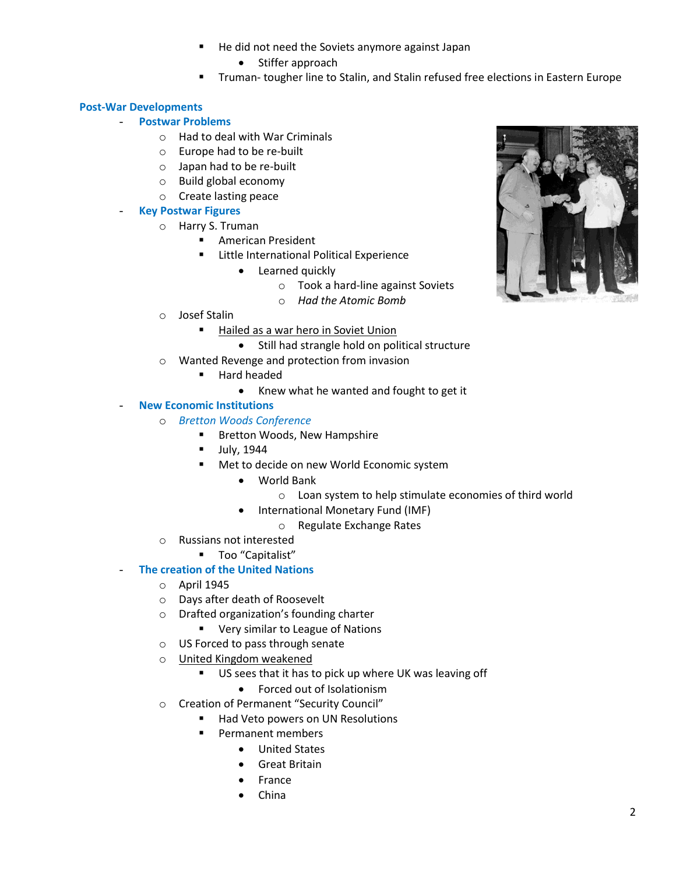- He did not need the Soviets anymore against Japan
	- Stiffer approach
- Truman- tougher line to Stalin, and Stalin refused free elections in Eastern Europe

# **Post-War Developments**

- **Postwar Problems**
	- o Had to deal with War Criminals
	- o Europe had to be re-built
	- o Japan had to be re-built
	- o Build global economy
	- o Create lasting peace

# - **Key Postwar Figures**

- o Harry S. Truman
	- **American President**
	- **EXECUTE:** Little International Political Experience
		- Learned quickly
			- o Took a hard-line against Soviets
			- o *Had the Atomic Bomb*
- o Josef Stalin
	- Hailed as a war hero in Soviet Union
		- Still had strangle hold on political structure
- o Wanted Revenge and protection from invasion
	- Hard headed
		- Knew what he wanted and fought to get it

# **New Economic Institutions**

#### o *Bretton Woods Conference*

- **Bretton Woods, New Hampshire**
- $\blacksquare$  July, 1944
- **Met to decide on new World Economic system** 
	- World Bank
		- o Loan system to help stimulate economies of third world
	- International Monetary Fund (IMF)
		- o Regulate Exchange Rates
- o Russians not interested
	- **Too** "Capitalist"

# **The creation of the United Nations**

- o April 1945
- o Days after death of Roosevelt
- o Drafted organization's founding charter
	- **Very similar to League of Nations**
- o US Forced to pass through senate
- o United Kingdom weakened
	- US sees that it has to pick up where UK was leaving off
		- Forced out of Isolationism
- o Creation of Permanent "Security Council"
	- Had Veto powers on UN Resolutions
	- Permanent members
		- United States
		- **•** Great Britain
		- France
		- China

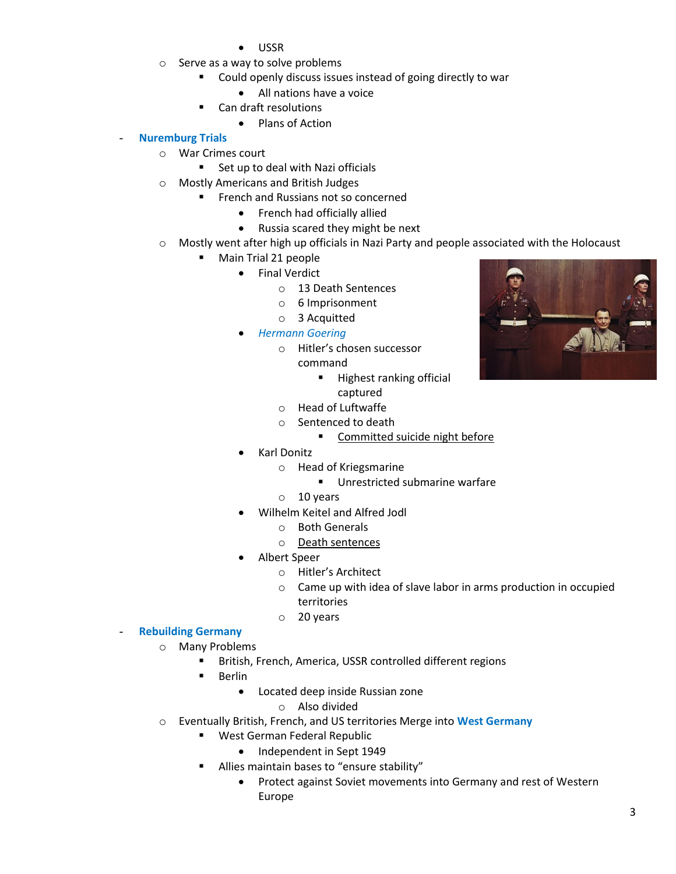- USSR
- o Serve as a way to solve problems
	- Could openly discuss issues instead of going directly to war
		- All nations have a voice
	- Can draft resolutions
		- Plans of Action

# - **Nuremburg Trials**

- o War Crimes court
	- Set up to deal with Nazi officials
- o Mostly Americans and British Judges
	- **FIGURE 1** French and Russians not so concerned
		- French had officially allied
		- Russia scared they might be next
- o Mostly went after high up officials in Nazi Party and people associated with the Holocaust
	- Main Trial 21 people
		- **•** Final Verdict
			- o 13 Death Sentences
			- o 6 Imprisonment
			- o 3 Acquitted
		- *Hermann Goering*
			- o Hitler's chosen successor
				- command
					- **Highest ranking official** captured
			- o Head of Luftwaffe
			- o Sentenced to death
				- **Committed suicide night before**
		- Karl Donitz
			- o Head of Kriegsmarine
				- **Unrestricted submarine warfare**
			- o 10 years
		- Wilhelm Keitel and Alfred Jodl
			- o Both Generals
			- o Death sentences
		- Albert Speer
			- o Hitler's Architect
			- o Came up with idea of slave labor in arms production in occupied territories
			- o 20 years

#### - **Rebuilding Germany**

- o Many Problems
	- British, French, America, USSR controlled different regions
	- **Berlin** 
		- Located deep inside Russian zone
			- o Also divided
- o Eventually British, French, and US territories Merge into **West Germany**
	- West German Federal Republic
		- Independent in Sept 1949
		- Allies maintain bases to "ensure stability"
			- Protect against Soviet movements into Germany and rest of Western Europe

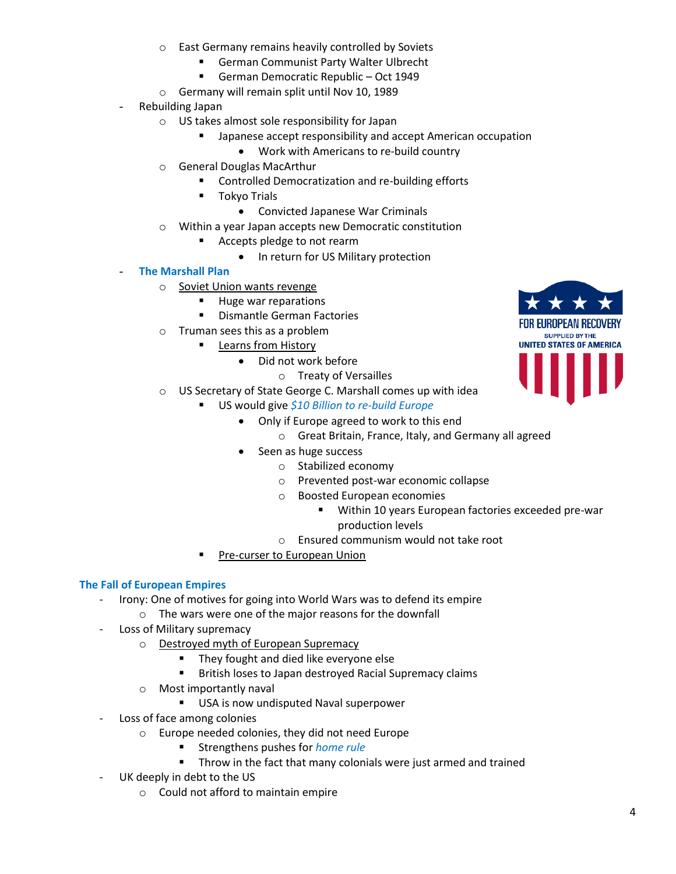- o East Germany remains heavily controlled by Soviets
	- **German Communist Party Walter Ulbrecht**
	- German Democratic Republic Oct 1949
- o Germany will remain split until Nov 10, 1989
- Rebuilding Japan
	- o US takes almost sole responsibility for Japan
		- **E** Japanese accept responsibility and accept American occupation
			- Work with Americans to re-build country
	- o General Douglas MacArthur
		- **EXECONTROLLED EMANGE DEMOCRATIZATION And re-building efforts**
		- **T**okyo Trials
			- Convicted Japanese War Criminals
	- o Within a year Japan accepts new Democratic constitution
		- **Accepts pledge to not rearm** 
			- In return for US Military protection

# - **The Marshall Plan**

- o Soviet Union wants revenge
	- **Huge war reparations**
	- **•** Dismantle German Factories
- o Truman sees this as a problem
	- **Learns from History** 
		- Did not work before
			- o Treaty of Versailles
- o US Secretary of State George C. Marshall comes up with idea
	- US would give *\$10 Billion to re-build Europe*
		- Only if Europe agreed to work to this end
			- o Great Britain, France, Italy, and Germany all agreed
		- Seen as huge success
			- o Stabilized economy
			- o Prevented post-war economic collapse
			- o Boosted European economies
				- Within 10 years European factories exceeded pre-war production levels
			- o Ensured communism would not take root
	- Pre-curser to European Union

# **The Fall of European Empires**

- Irony: One of motives for going into World Wars was to defend its empire
	- o The wars were one of the major reasons for the downfall
- Loss of Military supremacy
	- o Destroyed myth of European Supremacy
		- **They fought and died like everyone else**
		- British loses to Japan destroyed Racial Supremacy claims
	- o Most importantly naval
		- USA is now undisputed Naval superpower
- Loss of face among colonies
	- o Europe needed colonies, they did not need Europe
		- Strengthens pushes for *home rule*
		- **Throw in the fact that many colonials were just armed and trained**
- UK deeply in debt to the US
	- o Could not afford to maintain empire

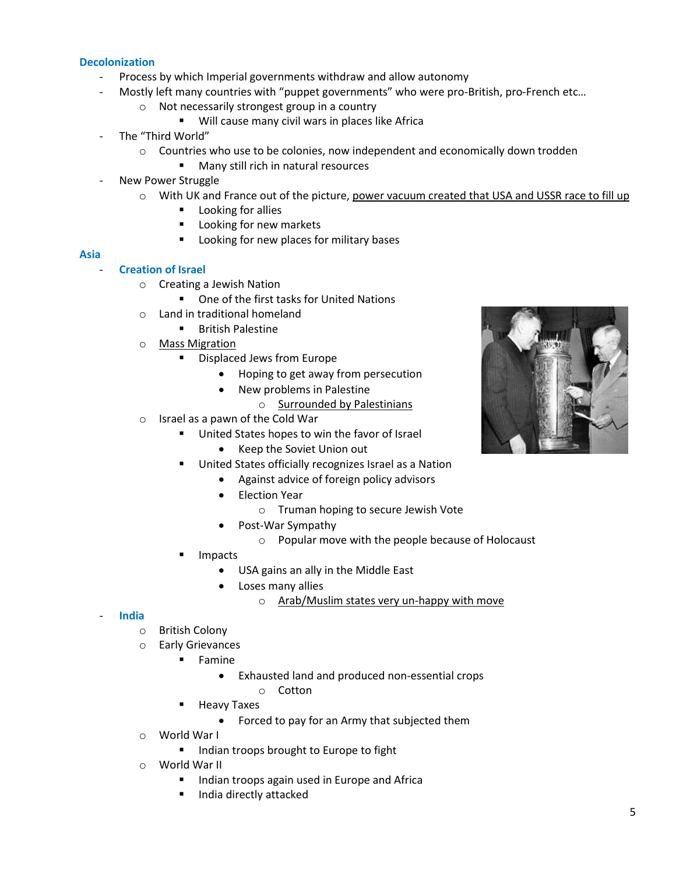#### **Decolonization**

- Process by which Imperial governments withdraw and allow autonomy
- Mostly left many countries with "puppet governments" who were pro-British, pro-French etc...
	- o Not necessarily strongest group in a country
		- **Will cause many civil wars in places like Africally**
- The "Third World"
	- o Countries who use to be colonies, now independent and economically down trodden
		- **Many still rich in natural resources**
- New Power Struggle
	- $\circ$  With UK and France out of the picture, power vacuum created that USA and USSR race to fill up
		- **Looking for allies**
		- Looking for new markets
		- **Looking for new places for military bases**

#### **Asia**

# - **Creation of Israel**

- o Creating a Jewish Nation
	- One of the first tasks for United Nations
- o Land in traditional homeland
	- **British Palestine**
- o Mass Migration
	- **•** Displaced Jews from Europe
		- Hoping to get away from persecution
		- New problems in Palestine
			- o Surrounded by Palestinians
- o Israel as a pawn of the Cold War
	- **United States hopes to win the favor of Israel** 
		- Keep the Soviet Union out
	- United States officially recognizes Israel as a Nation
		- Against advice of foreign policy advisors
		- Election Year
			- o Truman hoping to secure Jewish Vote
		- Post-War Sympathy
			- o Popular move with the people because of Holocaust
	- Impacts
		- USA gains an ally in the Middle East
		- Loses many allies
			- o Arab/Muslim states very un-happy with move

#### - **India**

- o British Colony
- o Early Grievances
	- Famine
		- Exhausted land and produced non-essential crops
			- o Cotton
	- Heavy Taxes
		- Forced to pay for an Army that subjected them
- o World War I
	- **Indian troops brought to Europe to fight**
- o World War II
	- Indian troops again used in Europe and Africa
	- India directly attacked

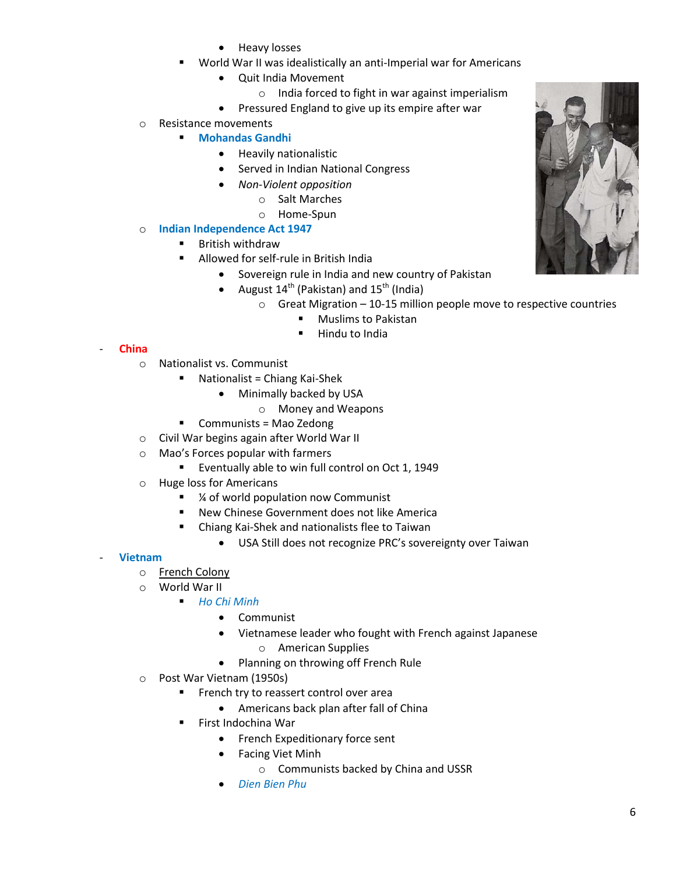- Heavy losses
- World War II was idealistically an anti-Imperial war for Americans
	- Quit India Movement
		- o India forced to fight in war against imperialism
	- Pressured England to give up its empire after war
- o Resistance movements

# **Mohandas Gandhi**

- **•** Heavily nationalistic
- **•** Served in Indian National Congress
- *Non-Violent opposition*
	- o Salt Marches
	- o Home-Spun
- o **Indian Independence Act 1947**
	- British withdraw
	- Allowed for self-rule in British India
		- Sovereign rule in India and new country of Pakistan
		- August  $14^{th}$  (Pakistan) and  $15^{th}$  (India)
			- $\circ$  Great Migration 10-15 million people move to respective countries
				- Muslims to Pakistan
				- **-** Hindu to India

#### - **China**

- o Nationalist vs. Communist
	- Nationalist = Chiang Kai-Shek
		- Minimally backed by USA
			- o Money and Weapons
	- **Communists = Mao Zedong**
- o Civil War begins again after World War II
- o Mao's Forces popular with farmers
	- Eventually able to win full control on Oct 1, 1949
- o Huge loss for Americans
	- ¼ of world population now Communist
	- New Chinese Government does not like America
	- Chiang Kai-Shek and nationalists flee to Taiwan
		- USA Still does not recognize PRC's sovereignty over Taiwan

#### - **Vietnam**

- o French Colony
- o World War II
	- *Ho Chi Minh*
		- Communist
		- Vietnamese leader who fought with French against Japanese o American Supplies
		- Planning on throwing off French Rule
- o Post War Vietnam (1950s)
	- **FILM** French try to reassert control over area
		- Americans back plan after fall of China
		- First Indochina War
			- French Expeditionary force sent
			- Facing Viet Minh
				- o Communists backed by China and USSR
			- *Dien Bien Phu*